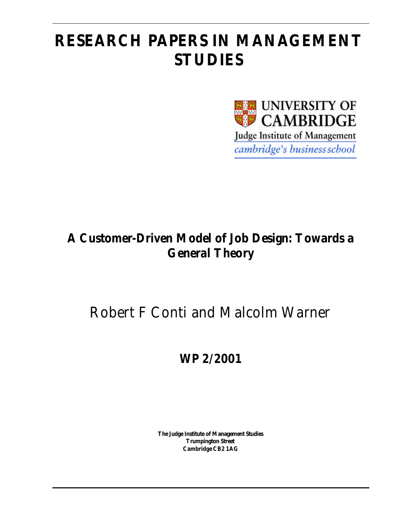# **RESEARCH PAPERS IN MANAGEMENT STUDIES**



## **A Customer-Driven Model of Job Design: Towards a General Theory**

## Robert F Conti and Malcolm Warner

**WP 2/2001**

**The Judge Institute of Management Studies Trumpington Street Cambridge CB2 1AG**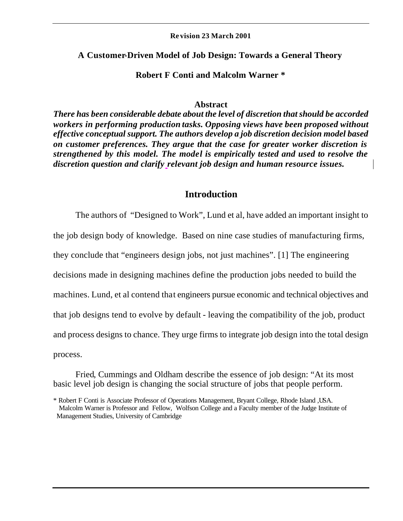#### **Re vision 23 March 2001**

#### **A Customer-Driven Model of Job Design: Towards a General Theory**

#### **Robert F Conti and Malcolm Warner \***

#### **Abstract**

*There has been considerable debate about the level of discretion that should be accorded workers in performing production tasks. Opposing views have been proposed without effective conceptual support. The authors develop a job discretion decision model based on customer preferences. They argue that the case for greater worker discretion is strengthened by this model. The model is empirically tested and used to resolve the discretion question and clarify relevant job design and human resource issues.*

#### **Introduction**

The authors of "Designed to Work", Lund et al, have added an important insight to the job design body of knowledge. Based on nine case studies of manufacturing firms, they conclude that "engineers design jobs, not just machines". [1] The engineering decisions made in designing machines define the production jobs needed to build the machines. Lund, et al contend that engineers pursue economic and technical objectives and that job designs tend to evolve by default - leaving the compatibility of the job, product and process designs to chance. They urge firms to integrate job design into the total design process.

Fried, Cummings and Oldham describe the essence of job design: "At its most basic level job design is changing the social structure of jobs that people perform.

<sup>\*</sup> Robert F Conti is Associate Professor of Operations Management, Bryant College, Rhode Island ,USA. Malcolm Warner is Professor and Fellow, Wolfson College and a Faculty member of the Judge Institute of Management Studies, University of Cambridge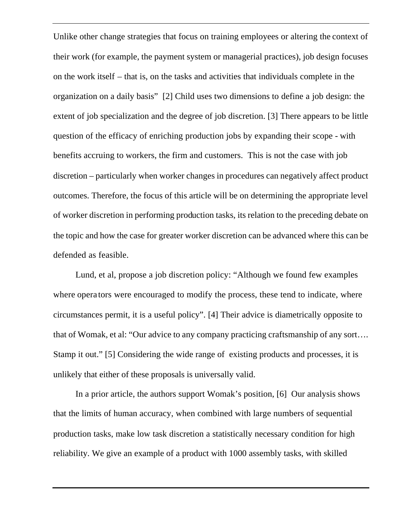Unlike other change strategies that focus on training employees or altering the context of their work (for example, the payment system or managerial practices), job design focuses on the work itself – that is, on the tasks and activities that individuals complete in the organization on a daily basis" [2] Child uses two dimensions to define a job design: the extent of job specialization and the degree of job discretion. [3] There appears to be little question of the efficacy of enriching production jobs by expanding their scope - with benefits accruing to workers, the firm and customers. This is not the case with job discretion – particularly when worker changes in procedures can negatively affect product outcomes. Therefore, the focus of this article will be on determining the appropriate level of worker discretion in performing production tasks, its relation to the preceding debate on the topic and how the case for greater worker discretion can be advanced where this can be defended as feasible.

Lund, et al, propose a job discretion policy: "Although we found few examples where opera tors were encouraged to modify the process, these tend to indicate, where circumstances permit, it is a useful policy". [4] Their advice is diametrically opposite to that of Womak, et al: "Our advice to any company practicing craftsmanship of any sort…. Stamp it out." [5] Considering the wide range of existing products and processes, it is unlikely that either of these proposals is universally valid.

In a prior article, the authors support Womak's position, [6] Our analysis shows that the limits of human accuracy, when combined with large numbers of sequential production tasks, make low task discretion a statistically necessary condition for high reliability. We give an example of a product with 1000 assembly tasks, with skilled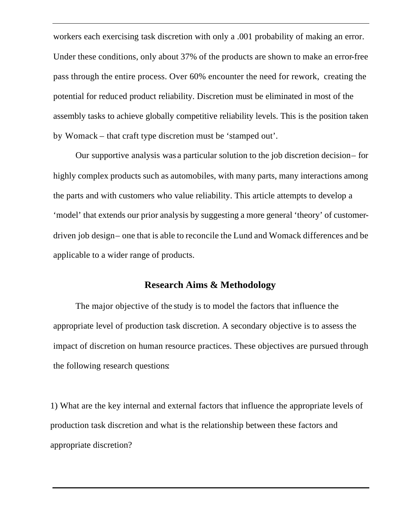workers each exercising task discretion with only a .001 probability of making an error. Under these conditions, only about 37% of the products are shown to make an error-free pass through the entire process. Over 60% encounter the need for rework, creating the potential for reduced product reliability. Discretion must be eliminated in most of the assembly tasks to achieve globally competitive reliability levels. This is the position taken by Womack – that craft type discretion must be 'stamped out'.

Our supportive analysis was a particular solution to the job discretion decision – for highly complex products such as automobiles, with many parts, many interactions among the parts and with customers who value reliability. This article attempts to develop a 'model' that extends our prior analysis by suggesting a more general 'theory' of customerdriven job design- one that is able to reconcile the Lund and Womack differences and be applicable to a wider range of products.

#### **Research Aims & Methodology**

The major objective of the study is to model the factors that influence the appropriate level of production task discretion. A secondary objective is to assess the impact of discretion on human resource practices. These objectives are pursued through the following research questions:

1) What are the key internal and external factors that influence the appropriate levels of production task discretion and what is the relationship between these factors and appropriate discretion?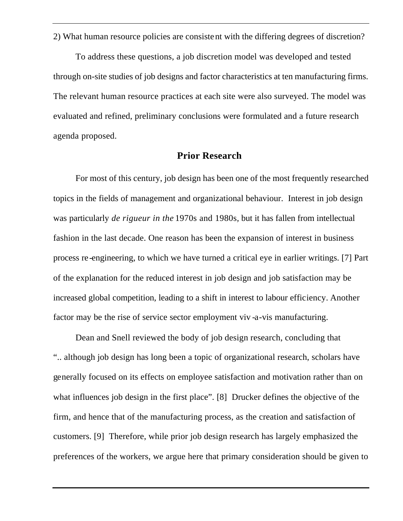2) What human resource policies are consistent with the differing degrees of discretion?

To address these questions, a job discretion model was developed and tested through on-site studies of job designs and factor characteristics at ten manufacturing firms. The relevant human resource practices at each site were also surveyed. The model was evaluated and refined, preliminary conclusions were formulated and a future research agenda proposed.

#### **Prior Research**

For most of this century, job design has been one of the most frequently researched topics in the fields of management and organizational behaviour. Interest in job design was particularly *de rigueur in the* 1970s and 1980s*,* but it has fallen from intellectual fashion in the last decade. One reason has been the expansion of interest in business process re-engineering, to which we have turned a critical eye in earlier writings. [7] Part of the explanation for the reduced interest in job design and job satisfaction may be increased global competition, leading to a shift in interest to labour efficiency. Another factor may be the rise of service sector employment viv -a-vis manufacturing.

Dean and Snell reviewed the body of job design research, concluding that ".. although job design has long been a topic of organizational research, scholars have generally focused on its effects on employee satisfaction and motivation rather than on what influences job design in the first place". [8] Drucker defines the objective of the firm, and hence that of the manufacturing process, as the creation and satisfaction of customers. [9] Therefore, while prior job design research has largely emphasized the preferences of the workers, we argue here that primary consideration should be given to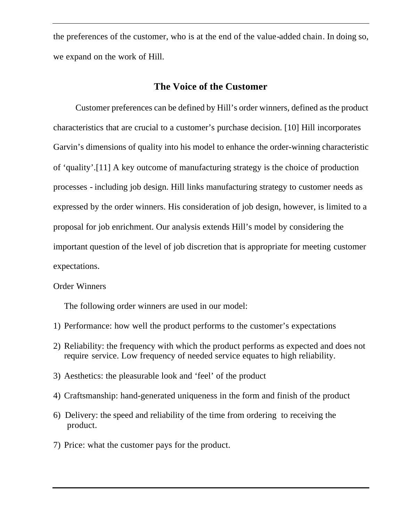the preferences of the customer, who is at the end of the value-added chain. In doing so, we expand on the work of Hill.

#### **The Voice of the Customer**

Customer preferences can be defined by Hill's order winners, defined as the product characteristics that are crucial to a customer's purchase decision. [10] Hill incorporates Garvin's dimensions of quality into his model to enhance the order-winning characteristic of 'quality'.[11] A key outcome of manufacturing strategy is the choice of production processes - including job design. Hill links manufacturing strategy to customer needs as expressed by the order winners. His consideration of job design, however, is limited to a proposal for job enrichment. Our analysis extends Hill's model by considering the important question of the level of job discretion that is appropriate for meeting customer expectations.

Order Winners

The following order winners are used in our model:

- 1) Performance: how well the product performs to the customer's expectations
- 2) Reliability: the frequency with which the product performs as expected and does not require service. Low frequency of needed service equates to high reliability.
- 3) Aesthetics: the pleasurable look and 'feel' of the product
- 4) Craftsmanship: hand-generated uniqueness in the form and finish of the product
- 6) Delivery: the speed and reliability of the time from ordering to receiving the product.
- 7) Price: what the customer pays for the product.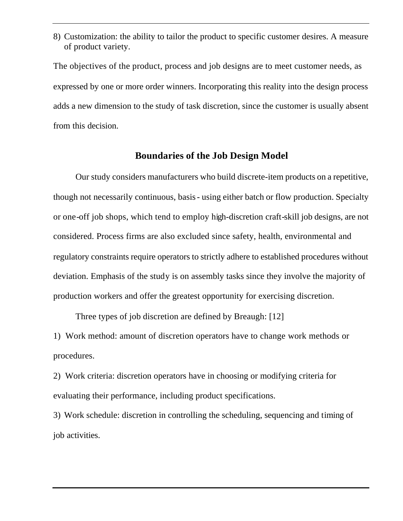8) Customization: the ability to tailor the product to specific customer desires. A measure of product variety.

The objectives of the product, process and job designs are to meet customer needs, as expressed by one or more order winners. Incorporating this reality into the design process adds a new dimension to the study of task discretion, since the customer is usually absent from this decision.

#### **Boundaries of the Job Design Model**

Our study considers manufacturers who build discrete-item products on a repetitive, though not necessarily continuous, basis - using either batch or flow production. Specialty or one-off job shops, which tend to employ high-discretion craft-skill job designs, are not considered. Process firms are also excluded since safety, health, environmental and regulatory constraints require operators to strictly adhere to established procedures without deviation. Emphasis of the study is on assembly tasks since they involve the majority of production workers and offer the greatest opportunity for exercising discretion.

Three types of job discretion are defined by Breaugh: [12]

1) Work method: amount of discretion operators have to change work methods or procedures.

2) Work criteria: discretion operators have in choosing or modifying criteria for evaluating their performance, including product specifications.

3) Work schedule: discretion in controlling the scheduling, sequencing and timing of job activities.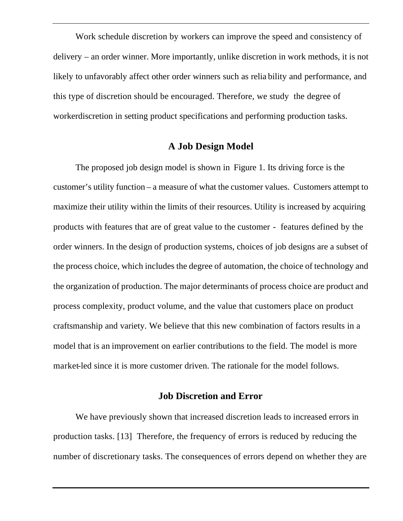Work schedule discretion by workers can improve the speed and consistency of delivery – an order winner. More importantly, unlike discretion in work methods, it is not likely to unfavorably affect other order winners such as relia bility and performance, and this type of discretion should be encouraged. Therefore, we study the degree of workerdiscretion in setting product specifications and performing production tasks.

#### **A Job Design Model**

The proposed job design model is shown in Figure 1. Its driving force is the customer's utility function – a measure of what the customer values. Customers attempt to maximize their utility within the limits of their resources. Utility is increased by acquiring products with features that are of great value to the customer - features defined by the order winners. In the design of production systems, choices of job designs are a subset of the process choice, which includes the degree of automation, the choice of technology and the organization of production. The major determinants of process choice are product and process complexity, product volume, and the value that customers place on product craftsmanship and variety. We believe that this new combination of factors results in a model that is an improvement on earlier contributions to the field. The model is more market-led since it is more customer driven. The rationale for the model follows.

#### **Job Discretion and Error**

We have previously shown that increased discretion leads to increased errors in production tasks. [13] Therefore, the frequency of errors is reduced by reducing the number of discretionary tasks. The consequences of errors depend on whether they are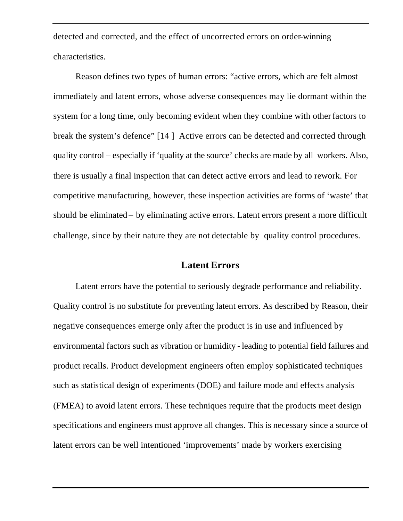detected and corrected, and the effect of uncorrected errors on order-winning characteristics.

Reason defines two types of human errors: "active errors, which are felt almost immediately and latent errors, whose adverse consequences may lie dormant within the system for a long time, only becoming evident when they combine with other factors to break the system's defence" [14 ] Active errors can be detected and corrected through quality control – especially if 'quality at the source' checks are made by all workers. Also, there is usually a final inspection that can detect active errors and lead to rework. For competitive manufacturing, however, these inspection activities are forms of 'waste' that should be eliminated – by eliminating active errors. Latent errors present a more difficult challenge, since by their nature they are not detectable by quality control procedures.

#### **Latent Errors**

Latent errors have the potential to seriously degrade performance and reliability. Quality control is no substitute for preventing latent errors. As described by Reason, their negative consequences emerge only after the product is in use and influenced by environmental factors such as vibration or humidity - leading to potential field failures and product recalls. Product development engineers often employ sophisticated techniques such as statistical design of experiments (DOE) and failure mode and effects analysis (FMEA) to avoid latent errors. These techniques require that the products meet design specifications and engineers must approve all changes. This is necessary since a source of latent errors can be well intentioned 'improvements' made by workers exercising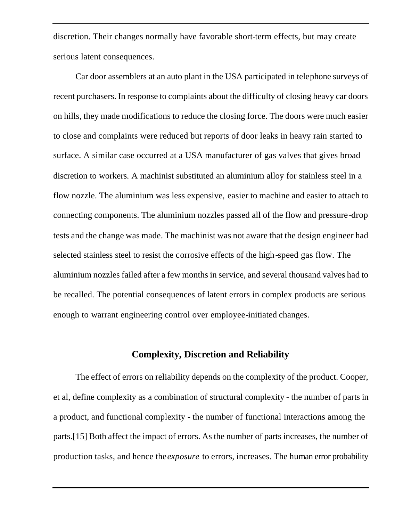discretion. Their changes normally have favorable short-term effects, but may create serious latent consequences.

Car door assemblers at an auto plant in the USA participated in telephone surveys of recent purchasers. In response to complaints about the difficulty of closing heavy car doors on hills, they made modifications to reduce the closing force. The doors were much easier to close and complaints were reduced but reports of door leaks in heavy rain started to surface. A similar case occurred at a USA manufacturer of gas valves that gives broad discretion to workers. A machinist substituted an aluminium alloy for stainless steel in a flow nozzle. The aluminium was less expensive, easier to machine and easier to attach to connecting components. The aluminium nozzles passed all of the flow and pressure -drop tests and the change was made. The machinist was not aware that the design engineer had selected stainless steel to resist the corrosive effects of the high-speed gas flow. The aluminium nozzles failed after a few months in service, and several thousand valves had to be recalled. The potential consequences of latent errors in complex products are serious enough to warrant engineering control over employee-initiated changes.

#### **Complexity, Discretion and Reliability**

The effect of errors on reliability depends on the complexity of the product. Cooper, et al, define complexity as a combination of structural complexity - the number of parts in a product, and functional complexity - the number of functional interactions among the parts.[15] Both affect the impact of errors. As the number of parts increases, the number of production tasks, and hence the *exposure* to errors, increases. The human error probability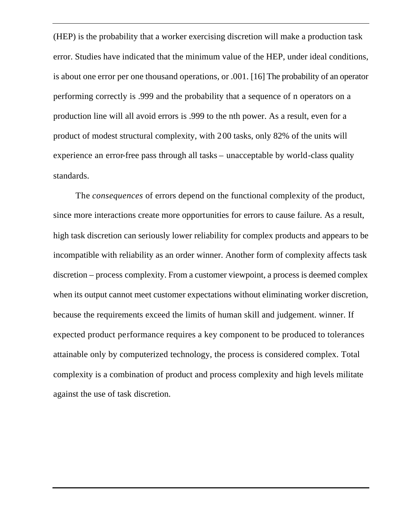(HEP) is the probability that a worker exercising discretion will make a production task error. Studies have indicated that the minimum value of the HEP, under ideal conditions, is about one error per one thousand operations, or .001. [16] The probability of an operator performing correctly is .999 and the probability that a sequence of n operators on a production line will all avoid errors is .999 to the nth power. As a result, even for a product of modest structural complexity, with 200 tasks, only 82% of the units will experience an error-free pass through all tasks – unacceptable by world-class quality standards.

The *consequences* of errors depend on the functional complexity of the product, since more interactions create more opportunities for errors to cause failure. As a result, high task discretion can seriously lower reliability for complex products and appears to be incompatible with reliability as an order winner. Another form of complexity affects task discretion – process complexity. From a customer viewpoint, a process is deemed complex when its output cannot meet customer expectations without eliminating worker discretion, because the requirements exceed the limits of human skill and judgement. winner. If expected product performance requires a key component to be produced to tolerances attainable only by computerized technology, the process is considered complex. Total complexity is a combination of product and process complexity and high levels militate against the use of task discretion.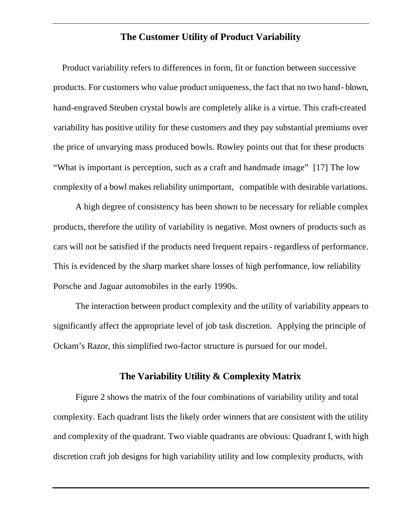#### **The Customer Utility of Product Variability**

Product variability refers to differences in form, fit or function between successive products. For customers who value product uniqueness, the fact that no two hand- blown, hand-engraved Steuben crystal bowls are completely alike is a virtue. This craft-created variability has positive utility for these customers and they pay substantial premiums over the price of unvarying mass produced bowls. Rowley points out that for these products "What is important is perception, such as a craft and handmade image" [17] The low complexity of a bowl makes reliability unimportant, compatible with desirable variations.

A high degree of consistency has been shown to be necessary for reliable complex products, therefore the utility of variability is negative. Most owners of products such as cars will not be satisfied if the products need frequent repairs - regardless of performance. This is evidenced by the sharp market share losses of high performance, low reliability Porsche and Jaguar automobiles in the early 1990s.

The interaction between product complexity and the utility of variability appears to significantly affect the appropriate level of job task discretion. Applying the principle of Ockam's Razor, this simplified two-factor structure is pursued for our model.

#### **The Variability Utility & Complexity Matrix**

Figure 2 shows the matrix of the four combinations of variability utility and total complexity. Each quadrant lists the likely order winners that are consistent with the utility and complexity of the quadrant. Two viable quadrants are obvious: Quadrant I, with high discretion craft job designs for high variability utility and low complexity products, with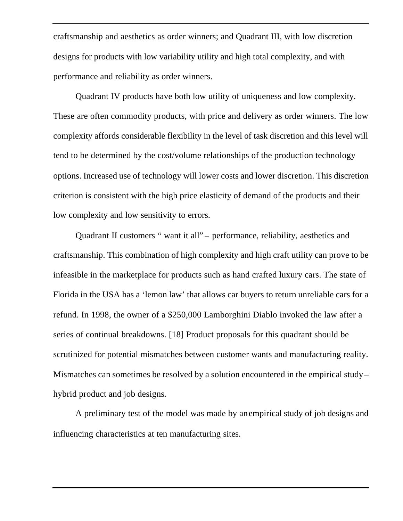craftsmanship and aesthetics as order winners; and Quadrant III, with low discretion designs for products with low variability utility and high total complexity, and with performance and reliability as order winners.

Quadrant IV products have both low utility of uniqueness and low complexity. These are often commodity products, with price and delivery as order winners. The low complexity affords considerable flexibility in the level of task discretion and this level will tend to be determined by the cost/volume relationships of the production technology options. Increased use of technology will lower costs and lower discretion. This discretion criterion is consistent with the high price elasticity of demand of the products and their low complexity and low sensitivity to errors.

Quadrant II customers " want it all" – performance, reliability, aesthetics and craftsmanship. This combination of high complexity and high craft utility can prove to be infeasible in the marketplace for products such as hand crafted luxury cars. The state of Florida in the USA has a 'lemon law' that allows car buyers to return unreliable cars for a refund. In 1998, the owner of a \$250,000 Lamborghini Diablo invoked the law after a series of continual breakdowns. [18] Product proposals for this quadrant should be scrutinized for potential mismatches between customer wants and manufacturing reality. Mismatches can sometimes be resolved by a solution encountered in the empirical study – hybrid product and job designs.

A preliminary test of the model was made by an empirical study of job designs and influencing characteristics at ten manufacturing sites.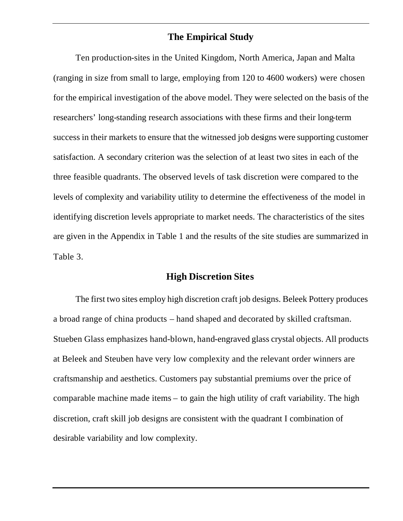## **The Empirical Study**

Ten production-sites in the United Kingdom, North America, Japan and Malta (ranging in size from small to large, employing from 120 to 4600 workers) were chosen for the empirical investigation of the above model. They were selected on the basis of the researchers' long-standing research associations with these firms and their long-term success in their markets to ensure that the witnessed job designs were supporting customer satisfaction. A secondary criterion was the selection of at least two sites in each of the three feasible quadrants. The observed levels of task discretion were compared to the levels of complexity and variability utility to determine the effectiveness of the model in identifying discretion levels appropriate to market needs. The characteristics of the sites are given in the Appendix in Table 1 and the results of the site studies are summarized in Table 3.

#### **High Discretion Sites**

The first two sites employ high discretion craft job designs. Beleek Pottery produces a broad range of china products – hand shaped and decorated by skilled craftsman. Stueben Glass emphasizes hand-blown, hand-engraved glass crystal objects. All products at Beleek and Steuben have very low complexity and the relevant order winners are craftsmanship and aesthetics. Customers pay substantial premiums over the price of comparable machine made items – to gain the high utility of craft variability. The high discretion, craft skill job designs are consistent with the quadrant I combination of desirable variability and low complexity.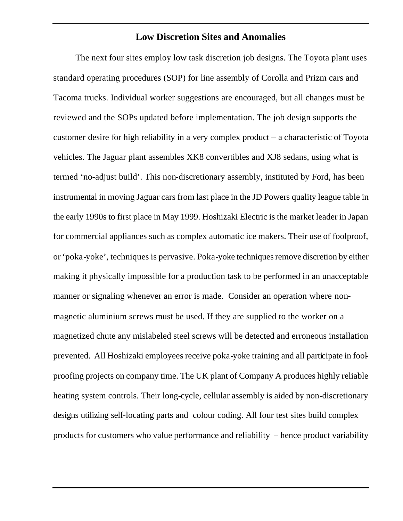### **Low Discretion Sites and Anomalies**

The next four sites employ low task discretion job designs. The Toyota plant uses standard operating procedures (SOP) for line assembly of Corolla and Prizm cars and Tacoma trucks. Individual worker suggestions are encouraged, but all changes must be reviewed and the SOPs updated before implementation. The job design supports the customer desire for high reliability in a very complex product – a characteristic of Toyota vehicles. The Jaguar plant assembles XK8 convertibles and XJ8 sedans, using what is termed 'no-adjust build'. This non-discretionary assembly, instituted by Ford, has been instrumental in moving Jaguar cars from last place in the JD Powers quality league table in the early 1990s to first place in May 1999. Hoshizaki Electric is the market leader in Japan for commercial appliances such as complex automatic ice makers. Their use of foolproof, or 'poka-yoke', techniques is pervasive. Poka-yoke techniques remove discretion by either making it physically impossible for a production task to be performed in an unacceptable manner or signaling whenever an error is made. Consider an operation where nonmagnetic aluminium screws must be used. If they are supplied to the worker on a magnetized chute any mislabeled steel screws will be detected and erroneous installation prevented. All Hoshizaki employees receive poka-yoke training and all participate in foolproofing projects on company time. The UK plant of Company A produces highly reliable heating system controls. Their long-cycle, cellular assembly is aided by non-discretionary designs utilizing self-locating parts and colour coding. All four test sites build complex products for customers who value performance and reliability – hence product variability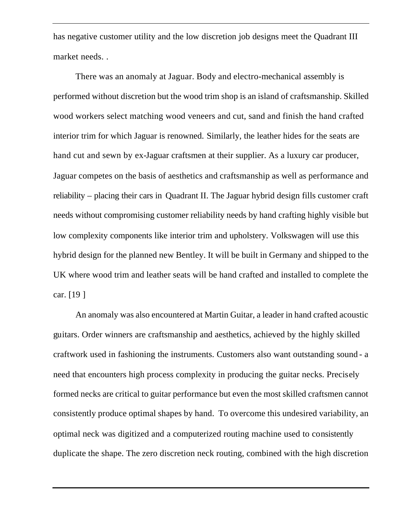has negative customer utility and the low discretion job designs meet the Quadrant III market needs. .

There was an anomaly at Jaguar. Body and electro-mechanical assembly is performed without discretion but the wood trim shop is an island of craftsmanship. Skilled wood workers select matching wood veneers and cut, sand and finish the hand crafted interior trim for which Jaguar is renowned. Similarly, the leather hides for the seats are hand cut and sewn by ex-Jaguar craftsmen at their supplier. As a luxury car producer, Jaguar competes on the basis of aesthetics and craftsmanship as well as performance and reliability – placing their cars in Quadrant II. The Jaguar hybrid design fills customer craft needs without compromising customer reliability needs by hand crafting highly visible but low complexity components like interior trim and upholstery. Volkswagen will use this hybrid design for the planned new Bentley. It will be built in Germany and shipped to the UK where wood trim and leather seats will be hand crafted and installed to complete the car. [19 ]

An anomaly was also encountered at Martin Guitar, a leader in hand crafted acoustic guitars. Order winners are craftsmanship and aesthetics, achieved by the highly skilled craftwork used in fashioning the instruments. Customers also want outstanding sound - a need that encounters high process complexity in producing the guitar necks. Precisely formed necks are critical to guitar performance but even the most skilled craftsmen cannot consistently produce optimal shapes by hand. To overcome this undesired variability, an optimal neck was digitized and a computerized routing machine used to consistently duplicate the shape. The zero discretion neck routing, combined with the high discretion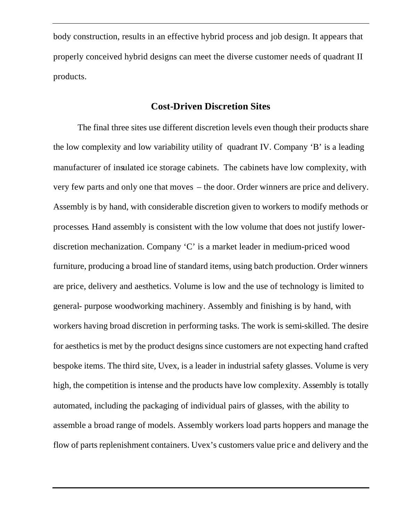body construction, results in an effective hybrid process and job design. It appears that properly conceived hybrid designs can meet the diverse customer needs of quadrant II products.

### **Cost-Driven Discretion Sites**

 The final three sites use different discretion levels even though their products share the low complexity and low variability utility of quadrant IV. Company 'B' is a leading manufacturer of insulated ice storage cabinets. The cabinets have low complexity, with very few parts and only one that moves – the door. Order winners are price and delivery. Assembly is by hand, with considerable discretion given to workers to modify methods or processes. Hand assembly is consistent with the low volume that does not justify lowerdiscretion mechanization. Company 'C' is a market leader in medium-priced wood furniture, producing a broad line of standard items, using batch production. Order winners are price, delivery and aesthetics. Volume is low and the use of technology is limited to general- purpose woodworking machinery. Assembly and finishing is by hand, with workers having broad discretion in performing tasks. The work is semi-skilled. The desire for aesthetics is met by the product designs since customers are not expecting hand crafted bespoke items. The third site, Uvex, is a leader in industrial safety glasses. Volume is very high, the competition is intense and the products have low complexity. Assembly is totally automated, including the packaging of individual pairs of glasses, with the ability to assemble a broad range of models. Assembly workers load parts hoppers and manage the flow of parts replenishment containers. Uvex's customers value pric e and delivery and the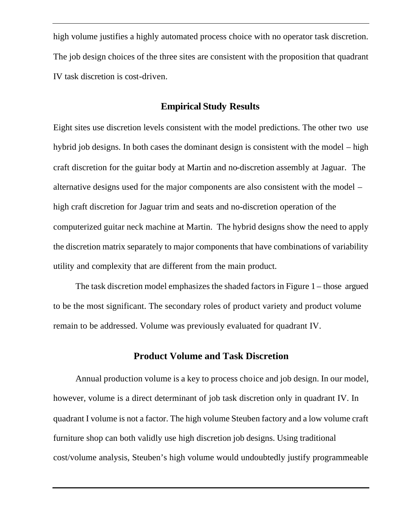high volume justifies a highly automated process choice with no operator task discretion. The job design choices of the three sites are consistent with the proposition that quadrant IV task discretion is cost-driven.

#### **Empirical Study Results**

Eight sites use discretion levels consistent with the model predictions. The other two use hybrid job designs. In both cases the dominant design is consistent with the model – high craft discretion for the guitar body at Martin and no-discretion assembly at Jaguar. The alternative designs used for the major components are also consistent with the model – high craft discretion for Jaguar trim and seats and no-discretion operation of the computerized guitar neck machine at Martin. The hybrid designs show the need to apply the discretion matrix separately to major components that have combinations of variability utility and complexity that are different from the main product.

The task discretion model emphasizes the shaded factors in Figure 1 – those argued to be the most significant. The secondary roles of product variety and product volume remain to be addressed. Volume was previously evaluated for quadrant IV.

## **Product Volume and Task Discretion**

Annual production volume is a key to process choice and job design. In our model, however, volume is a direct determinant of job task discretion only in quadrant IV. In quadrant I volume is not a factor. The high volume Steuben factory and a low volume craft furniture shop can both validly use high discretion job designs. Using traditional cost/volume analysis, Steuben's high volume would undoubtedly justify programmeable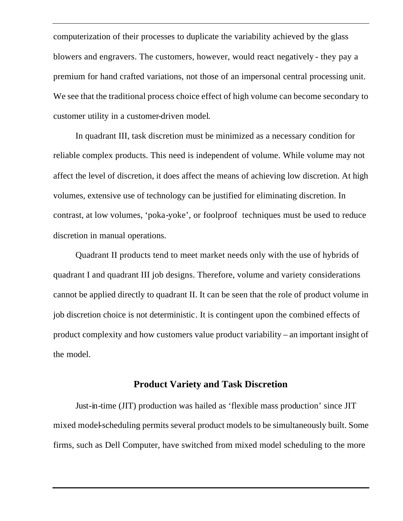computerization of their processes to duplicate the variability achieved by the glass blowers and engravers. The customers, however, would react negatively - they pay a premium for hand crafted variations, not those of an impersonal central processing unit. We see that the traditional process choice effect of high volume can become secondary to customer utility in a customer-driven model.

In quadrant III, task discretion must be minimized as a necessary condition for reliable complex products. This need is independent of volume. While volume may not affect the level of discretion, it does affect the means of achieving low discretion. At high volumes, extensive use of technology can be justified for eliminating discretion. In contrast, at low volumes, 'poka-yoke', or foolproof techniques must be used to reduce discretion in manual operations.

Quadrant II products tend to meet market needs only with the use of hybrids of quadrant I and quadrant III job designs. Therefore, volume and variety considerations cannot be applied directly to quadrant II. It can be seen that the role of product volume in job discretion choice is not deterministic. It is contingent upon the combined effects of product complexity and how customers value product variability – an important insight of the model.

#### **Product Variety and Task Discretion**

Just-in-time (JIT) production was hailed as 'flexible mass production' since JIT mixed model-scheduling permits several product models to be simultaneously built. Some firms, such as Dell Computer, have switched from mixed model scheduling to the more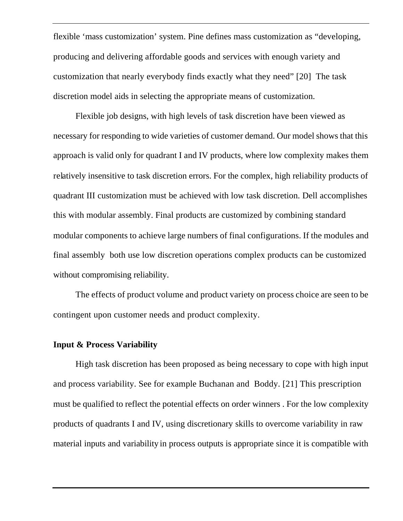flexible 'mass customization' system. Pine defines mass customization as "developing, producing and delivering affordable goods and services with enough variety and customization that nearly everybody finds exactly what they need" [20] The task discretion model aids in selecting the appropriate means of customization.

Flexible job designs, with high levels of task discretion have been viewed as necessary for responding to wide varieties of customer demand. Our model shows that this approach is valid only for quadrant I and IV products, where low complexity makes them relatively insensitive to task discretion errors. For the complex, high reliability products of quadrant III customization must be achieved with low task discretion. Dell accomplishes this with modular assembly. Final products are customized by combining standard modular components to achieve large numbers of final configurations. If the modules and final assembly both use low discretion operations complex products can be customized without compromising reliability.

The effects of product volume and product variety on process choice are seen to be contingent upon customer needs and product complexity.

#### **Input & Process Variability**

High task discretion has been proposed as being necessary to cope with high input and process variability. See for example Buchanan and Boddy. [21] This prescription must be qualified to reflect the potential effects on order winners . For the low complexity products of quadrants I and IV, using discretionary skills to overcome variability in raw material inputs and variability in process outputs is appropriate since it is compatible with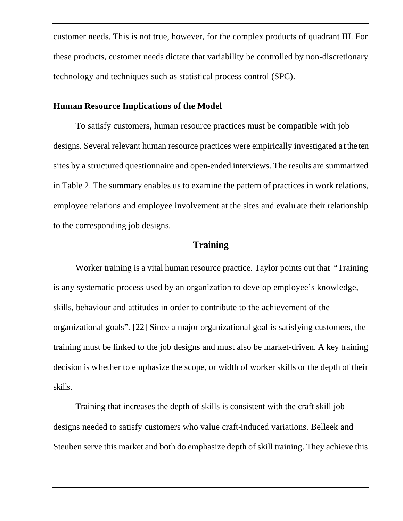customer needs. This is not true, however, for the complex products of quadrant III. For these products, customer needs dictate that variability be controlled by non-discretionary technology and techniques such as statistical process control (SPC).

#### **Human Resource Implications of the Model**

To satisfy customers, human resource practices must be compatible with job designs. Several relevant human resource practices were empirically investigated a t the ten sites by a structured questionnaire and open-ended interviews. The results are summarized in Table 2. The summary enables us to examine the pattern of practices in work relations, employee relations and employee involvement at the sites and evalu ate their relationship to the corresponding job designs.

### **Training**

Worker training is a vital human resource practice. Taylor points out that "Training is any systematic process used by an organization to develop employee's knowledge, skills, behaviour and attitudes in order to contribute to the achievement of the organizational goals". [22] Since a major organizational goal is satisfying customers, the training must be linked to the job designs and must also be market-driven. A key training decision is whether to emphasize the scope, or width of worker skills or the depth of their skills.

Training that increases the depth of skills is consistent with the craft skill job designs needed to satisfy customers who value craft-induced variations. Belleek and Steuben serve this market and both do emphasize depth of skill training. They achieve this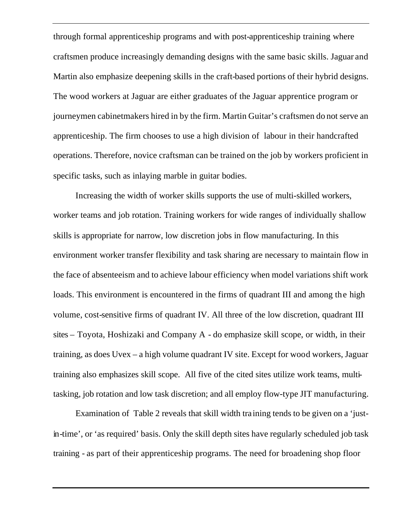through formal apprenticeship programs and with post-apprenticeship training where craftsmen produce increasingly demanding designs with the same basic skills. Jaguar and Martin also emphasize deepening skills in the craft-based portions of their hybrid designs. The wood workers at Jaguar are either graduates of the Jaguar apprentice program or journeymen cabinetmakers hired in by the firm. Martin Guitar's craftsmen do not serve an apprenticeship. The firm chooses to use a high division of labour in their handcrafted operations. Therefore, novice craftsman can be trained on the job by workers proficient in specific tasks, such as inlaying marble in guitar bodies.

Increasing the width of worker skills supports the use of multi-skilled workers, worker teams and job rotation. Training workers for wide ranges of individually shallow skills is appropriate for narrow, low discretion jobs in flow manufacturing. In this environment worker transfer flexibility and task sharing are necessary to maintain flow in the face of absenteeism and to achieve labour efficiency when model variations shift work loads. This environment is encountered in the firms of quadrant III and among the high volume, cost-sensitive firms of quadrant IV. All three of the low discretion, quadrant III sites – Toyota, Hoshizaki and Company A - do emphasize skill scope, or width, in their training, as does Uvex – a high volume quadrant IV site. Except for wood workers, Jaguar training also emphasizes skill scope. All five of the cited sites utilize work teams, multitasking, job rotation and low task discretion; and all employ flow-type JIT manufacturing.

Examination of Table 2 reveals that skill width training tends to be given on a 'justin-time', or 'as required' basis. Only the skill depth sites have regularly scheduled job task training - as part of their apprenticeship programs. The need for broadening shop floor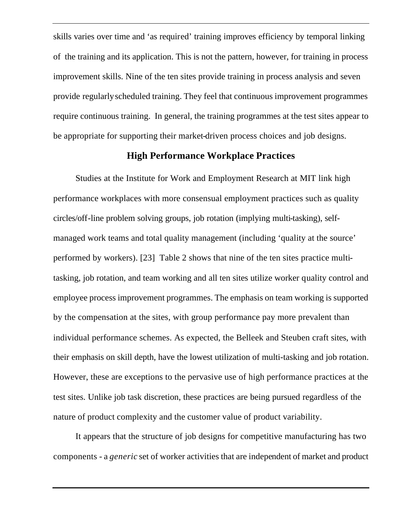skills varies over time and 'as required' training improves efficiency by temporal linking of the training and its application. This is not the pattern, however, for training in process improvement skills. Nine of the ten sites provide training in process analysis and seven provide regularly scheduled training. They feel that continuous improvement programmes require continuous training. In general, the training programmes at the test sites appear to be appropriate for supporting their market-driven process choices and job designs.

#### **High Performance Workplace Practices**

Studies at the Institute for Work and Employment Research at MIT link high performance workplaces with more consensual employment practices such as quality circles/off-line problem solving groups, job rotation (implying multi-tasking), selfmanaged work teams and total quality management (including 'quality at the source' performed by workers). [23] Table 2 shows that nine of the ten sites practice multitasking, job rotation, and team working and all ten sites utilize worker quality control and employee process improvement programmes. The emphasis on team working is supported by the compensation at the sites, with group performance pay more prevalent than individual performance schemes. As expected, the Belleek and Steuben craft sites, with their emphasis on skill depth, have the lowest utilization of multi-tasking and job rotation. However, these are exceptions to the pervasive use of high performance practices at the test sites. Unlike job task discretion, these practices are being pursued regardless of the nature of product complexity and the customer value of product variability.

It appears that the structure of job designs for competitive manufacturing has two components - a *generic* set of worker activities that are independent of market and product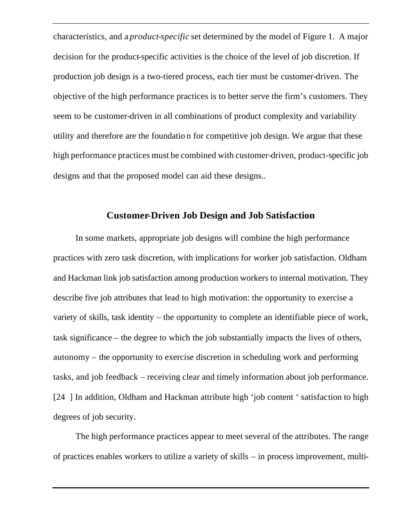characteristics, and a *product-specific* set determined by the model of Figure 1. A major decision for the product-specific activities is the choice of the level of job discretion. If production job design is a two-tiered process, each tier must be customer-driven. The objective of the high performance practices is to better serve the firm's customers. They seem to be customer-driven in all combinations of product complexity and variability utility and therefore are the foundatio n for competitive job design. We argue that these high performance practices must be combined with customer-driven, product-specific job designs and that the proposed model can aid these designs..

### **Customer-Driven Job Design and Job Satisfaction**

In some markets, appropriate job designs will combine the high performance practices with zero task discretion, with implications for worker job satisfaction. Oldham and Hackman link job satisfaction among production workers to internal motivation. They describe five job attributes that lead to high motivation: the opportunity to exercise a variety of skills, task identity – the opportunity to complete an identifiable piece of work, task significance – the degree to which the job substantially impacts the lives of others, autonomy – the opportunity to exercise discretion in scheduling work and performing tasks, and job feedback – receiving clear and timely information about job performance. [24 ] In addition, Oldham and Hackman attribute high 'job content ' satisfaction to high degrees of job security.

The high performance practices appear to meet several of the attributes. The range of practices enables workers to utilize a variety of skills – in process improvement, multi-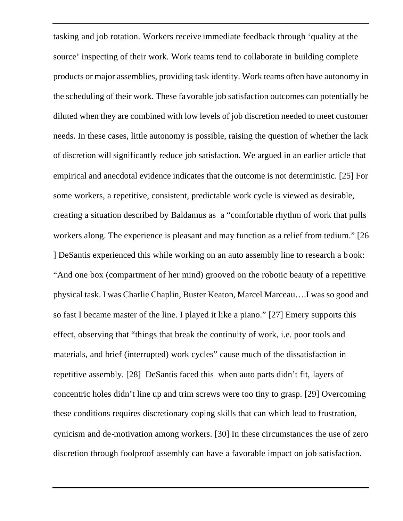tasking and job rotation. Workers receive immediate feedback through 'quality at the source' inspecting of their work. Work teams tend to collaborate in building complete products or major assemblies, providing task identity. Work teams often have autonomy in the scheduling of their work. These favorable job satisfaction outcomes can potentially be diluted when they are combined with low levels of job discretion needed to meet customer needs. In these cases, little autonomy is possible, raising the question of whether the lack of discretion will significantly reduce job satisfaction. We argued in an earlier article that empirical and anecdotal evidence indicates that the outcome is not deterministic. [25] For some workers, a repetitive, consistent, predictable work cycle is viewed as desirable, creating a situation described by Baldamus as a "comfortable rhythm of work that pulls workers along. The experience is pleasant and may function as a relief from tedium." [26 ] DeSantis experienced this while working on an auto assembly line to research a book: "And one box (compartment of her mind) grooved on the robotic beauty of a repetitive physical task. I was Charlie Chaplin, Buster Keaton, Marcel Marceau….I was so good and so fast I became master of the line. I played it like a piano." [27] Emery supports this effect, observing that "things that break the continuity of work, i.e. poor tools and materials, and brief (interrupted) work cycles" cause much of the dissatisfaction in repetitive assembly. [28] DeSantis faced this when auto parts didn't fit, layers of concentric holes didn't line up and trim screws were too tiny to grasp. [29] Overcoming these conditions requires discretionary coping skills that can which lead to frustration, cynicism and de-motivation among workers. [30] In these circumstances the use of zero discretion through foolproof assembly can have a favorable impact on job satisfaction.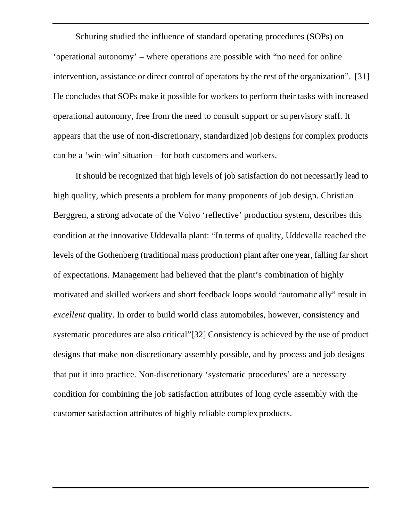Schuring studied the influence of standard operating procedures (SOPs) on 'operational autonomy' – where operations are possible with "no need for online intervention, assistance or direct control of operators by the rest of the organization". [31] He concludes that SOPs make it possible for workers to perform their tasks with increased operational autonomy, free from the need to consult support or supervisory staff. It appears that the use of non-discretionary, standardized job designs for complex products can be a 'win-win' situation – for both customers and workers.

It should be recognized that high levels of job satisfaction do not necessarily lead to high quality, which presents a problem for many proponents of job design. Christian Berggren, a strong advocate of the Volvo 'reflective' production system, describes this condition at the innovative Uddevalla plant: "In terms of quality, Uddevalla reached the levels of the Gothenberg (traditional mass production) plant after one year, falling far short of expectations. Management had believed that the plant's combination of highly motivated and skilled workers and short feedback loops would "automatic ally" result in *excellent* quality. In order to build world class automobiles, however, consistency and systematic procedures are also critical"[32] Consistency is achieved by the use of product designs that make non-discretionary assembly possible, and by process and job designs that put it into practice. Non-discretionary 'systematic procedures' are a necessary condition for combining the job satisfaction attributes of long cycle assembly with the customer satisfaction attributes of highly reliable complex products.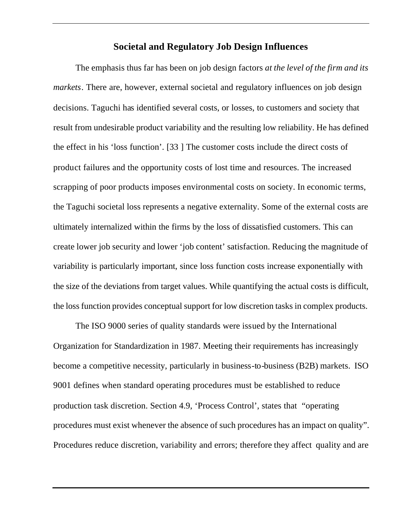#### **Societal and Regulatory Job Design Influences**

The emphasis thus far has been on job design factors *at the level of the firm and its markets*. There are, however, external societal and regulatory influences on job design decisions. Taguchi has identified several costs, or losses, to customers and society that result from undesirable product variability and the resulting low reliability. He has defined the effect in his 'loss function'. [33 ] The customer costs include the direct costs of product failures and the opportunity costs of lost time and resources. The increased scrapping of poor products imposes environmental costs on society. In economic terms, the Taguchi societal loss represents a negative externality. Some of the external costs are ultimately internalized within the firms by the loss of dissatisfied customers. This can create lower job security and lower 'job content' satisfaction. Reducing the magnitude of variability is particularly important, since loss function costs increase exponentially with the size of the deviations from target values. While quantifying the actual costs is difficult, the loss function provides conceptual support for low discretion tasks in complex products.

The ISO 9000 series of quality standards were issued by the International Organization for Standardization in 1987. Meeting their requirements has increasingly become a competitive necessity, particularly in business-to-business (B2B) markets. ISO 9001 defines when standard operating procedures must be established to reduce production task discretion. Section 4.9, 'Process Control', states that "operating procedures must exist whenever the absence of such procedures has an impact on quality". Procedures reduce discretion, variability and errors; therefore they affect quality and are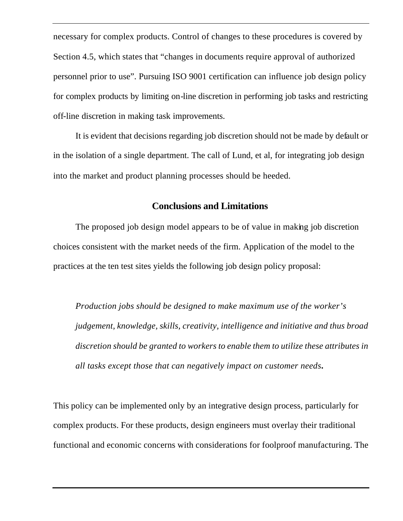necessary for complex products. Control of changes to these procedures is covered by Section 4.5, which states that "changes in documents require approval of authorized personnel prior to use". Pursuing ISO 9001 certification can influence job design policy for complex products by limiting on-line discretion in performing job tasks and restricting off-line discretion in making task improvements.

It is evident that decisions regarding job discretion should not be made by default or in the isolation of a single department. The call of Lund, et al, for integrating job design into the market and product planning processes should be heeded.

#### **Conclusions and Limitations**

The proposed job design model appears to be of value in making job discretion choices consistent with the market needs of the firm. Application of the model to the practices at the ten test sites yields the following job design policy proposal:

*Production jobs should be designed to make maximum use of the worker's judgement, knowledge, skills, creativity, intelligence and initiative and thus broad discretion should be granted to workers to enable them to utilize these attributes in all tasks except those that can negatively impact on customer needs***.** 

This policy can be implemented only by an integrative design process, particularly for complex products. For these products, design engineers must overlay their traditional functional and economic concerns with considerations for foolproof manufacturing. The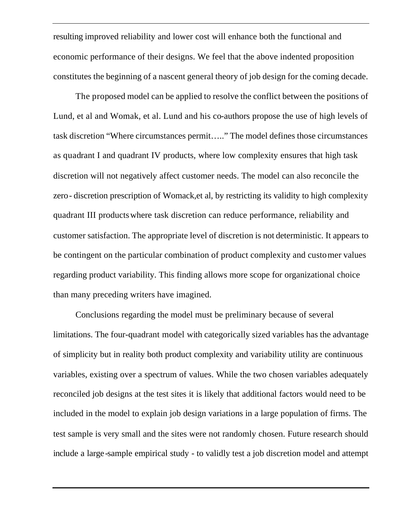resulting improved reliability and lower cost will enhance both the functional and economic performance of their designs. We feel that the above indented proposition constitutes the beginning of a nascent general theory of job design for the coming decade.

The proposed model can be applied to resolve the conflict between the positions of Lund, et al and Womak, et al. Lund and his co-authors propose the use of high levels of task discretion "Where circumstances permit….." The model defines those circumstances as quadrant I and quadrant IV products, where low complexity ensures that high task discretion will not negatively affect customer needs. The model can also reconcile the zero- discretion prescription of Womack,et al, by restricting its validity to high complexity quadrant III productswhere task discretion can reduce performance, reliability and customer satisfaction. The appropriate level of discretion is not deterministic. It appears to be contingent on the particular combination of product complexity and customer values regarding product variability. This finding allows more scope for organizational choice than many preceding writers have imagined.

Conclusions regarding the model must be preliminary because of several limitations. The four-quadrant model with categorically sized variables has the advantage of simplicity but in reality both product complexity and variability utility are continuous variables, existing over a spectrum of values. While the two chosen variables adequately reconciled job designs at the test sites it is likely that additional factors would need to be included in the model to explain job design variations in a large population of firms. The test sample is very small and the sites were not randomly chosen. Future research should include a large-sample empirical study - to validly test a job discretion model and attempt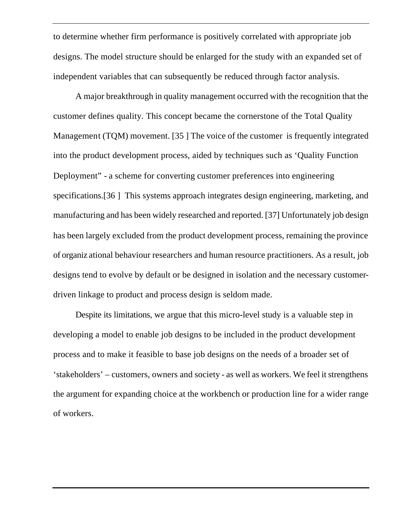to determine whether firm performance is positively correlated with appropriate job designs. The model structure should be enlarged for the study with an expanded set of independent variables that can subsequently be reduced through factor analysis.

A major breakthrough in quality management occurred with the recognition that the customer defines quality. This concept became the cornerstone of the Total Quality Management (TQM) movement. [35 ] The voice of the customer is frequently integrated into the product development process, aided by techniques such as 'Quality Function Deployment" - a scheme for converting customer preferences into engineering specifications.[36 ] This systems approach integrates design engineering, marketing, and manufacturing and has been widely researched and reported. [37] Unfortunately job design has been largely excluded from the product development process, remaining the province of organiz ational behaviour researchers and human resource practitioners. As a result, job designs tend to evolve by default or be designed in isolation and the necessary customerdriven linkage to product and process design is seldom made.

Despite its limitations, we argue that this micro-level study is a valuable step in developing a model to enable job designs to be included in the product development process and to make it feasible to base job designs on the needs of a broader set of 'stakeholders' – customers, owners and society - as well as workers. We feel it strengthens the argument for expanding choice at the workbench or production line for a wider range of workers.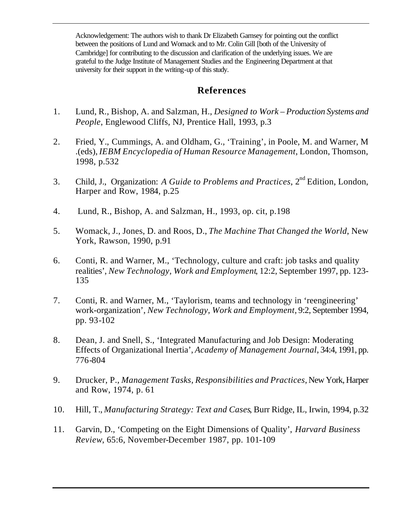Acknowledgement: The authors wish to thank Dr Elizabeth Garnsey for pointing out the conflict between the positions of Lund and Womack and to Mr. Colin Gill [both of the University of Cambridge] for contributing to the discussion and clarification of the underlying issues. We are grateful to the Judge Institute of Management Studies and the Engineering Department at that university for their support in the writing-up of this study.

## **References**

- 1. Lund, R., Bishop, A. and Salzman, H., *Designed to Work Production Systems and People*, Englewood Cliffs, NJ, Prentice Hall, 1993, p.3
- 2. Fried, Y., Cummings, A. and Oldham, G., 'Training', in Poole, M. and Warner, M .(eds), *IEBM Encyclopedia of Human Resource Management*, London, Thomson, 1998, p.532
- 3. Child, J., Organization: *A Guide to Problems and Practices*, 2nd Edition, London, Harper and Row, 1984, p.25
- 4. Lund, R., Bishop, A. and Salzman, H., 1993, op. cit, p.198
- 5. Womack, J., Jones, D. and Roos, D., *The Machine That Changed the World*, New York, Rawson, 1990, p.91
- 6. Conti, R. and Warner, M., 'Technology, culture and craft: job tasks and quality realities', *New Technology, Work and Employment*, 12:2, September 1997, pp. 123- 135
- 7. Conti, R. and Warner, M., 'Taylorism, teams and technology in 'reengineering' work-organization', *New Technology, Work and Employment*, 9:2, September 1994, pp. 93-102
- 8. Dean, J. and Snell, S., 'Integrated Manufacturing and Job Design: Moderating Effects of Organizational Inertia', *Academy of Management Journal*, 34:4, 1991, pp. 776-804
- 9. Drucker, P., *Management Tasks, Responsibilities and Practices*, New York, Harper and Row, 1974, p. 61
- 10. Hill, T., *Manufacturing Strategy: Text and Cases*, Burr Ridge, IL, Irwin, 1994, p.32
- 11. Garvin, D., 'Competing on the Eight Dimensions of Quality', *Harvard Business Review*, 65:6, November-December 1987, pp. 101-109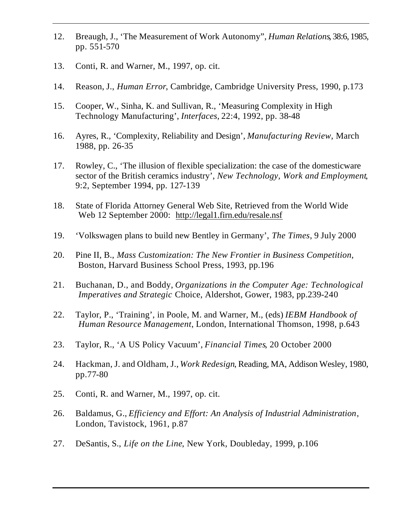- 12. Breaugh, J., 'The Measurement of Work Autonomy", *Human Relations*, 38:6, 1985, pp. 551-570
- 13. Conti, R. and Warner, M., 1997, op. cit.
- 14. Reason, J., *Human Error*, Cambridge, Cambridge University Press, 1990, p.173
- 15. Cooper, W., Sinha, K. and Sullivan, R., 'Measuring Complexity in High Technology Manufacturing', *Interfaces,* 22:4, 1992, pp. 38-48
- 16. Ayres, R., 'Complexity, Reliability and Design', *Manufacturing Review*, March 1988, pp. 26-35
- 17. Rowley, C., 'The illusion of flexible specialization: the case of the domesticware sector of the British ceramics industry', *New Technology, Work and Employment*, 9:2, September 1994, pp. 127-139
- 18. State of Florida Attorney General Web Site, Retrieved from the World Wide Web 12 September 2000: http://legal1.firn.edu/resale.nsf
- 19. 'Volkswagen plans to build new Bentley in Germany', *The Times*, 9 July 2000
- 20. Pine II, B., *Mass Customization: The New Frontier in Business Competition,* Boston, Harvard Business School Press, 1993, pp.196
- 21. Buchanan, D., and Boddy, *Organizations in the Computer Age: Technological Imperatives and Strategic* Choice, Aldershot, Gower, 1983, pp.239-240
- 22. Taylor, P., 'Training', in Poole, M. and Warner, M., (eds) *IEBM Handbook of Human Resource Management*, London, International Thomson, 1998, p.643
- 23. Taylor, R., 'A US Policy Vacuum', *Financial Times*, 20 October 2000
- 24. Hackman, J. and Oldham, J., *Work Redesign*, Reading, MA, Addison Wesley, 1980, pp.77-80
- 25. Conti, R. and Warner, M., 1997, op. cit.
- 26. Baldamus, G., *Efficiency and Effort: An Analysis of Industrial Administration*, London, Tavistock, 1961, p.87
- 27. DeSantis, S., *Life on the Line*, New York, Doubleday, 1999, p.106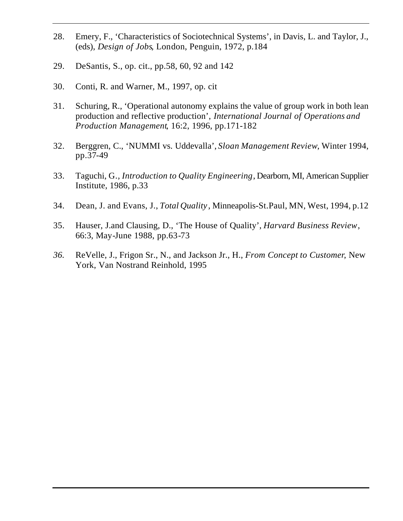- 28. Emery, F., 'Characteristics of Sociotechnical Systems', in Davis, L. and Taylor, J., (eds), *Design of Jobs*, London, Penguin, 1972, p.184
- 29. DeSantis, S., op. cit., pp.58, 60, 92 and 142
- 30. Conti, R. and Warner, M., 1997, op. cit
- 31. Schuring, R., 'Operational autonomy explains the value of group work in both lean production and reflective production', *International Journal of Operations and Production Management*, 16:2, 1996, pp.171-182
- 32. Berggren, C., 'NUMMI vs. Uddevalla', *Sloan Management Review*, Winter 1994, pp.37-49
- 33. Taguchi, G*., Introduction to Quality Engineering*, Dearborn, MI, American Supplier Institute, 1986, p.33
- 34. Dean, J. and Evans, J., *Total Quality* , Minneapolis-St.Paul, MN, West, 1994, p.12
- 35. Hauser, J.and Clausing, D., 'The House of Quality', *Harvard Business Review*, 66:3, May-June 1988, pp.63-73
- *36.* ReVelle, J., Frigon Sr., N., and Jackson Jr., H., *From Concept to Customer*, New York, Van Nostrand Reinhold, 1995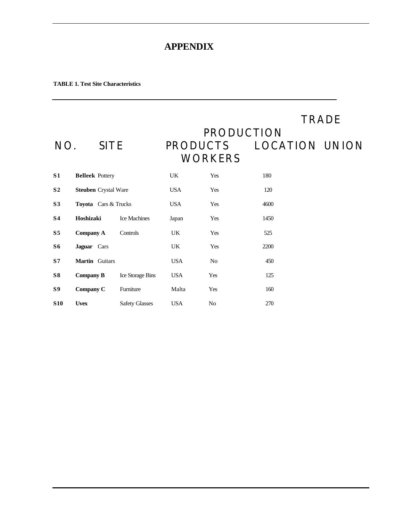## **APPENDIX**

#### **TABLE 1. Test Site Characteristics**

| NO.            | <b>SITE</b>                 |                       | <b>PRODUCTS</b> | <b>PRODUCTION</b><br><b>WORKERS</b> |      | <b>TRADE</b><br><b>LOCATION UNION</b> |
|----------------|-----------------------------|-----------------------|-----------------|-------------------------------------|------|---------------------------------------|
| <b>S1</b>      | <b>Belleek</b> Pottery      |                       | <b>UK</b>       | Yes                                 | 180  |                                       |
| S <sub>2</sub> | <b>Steuben</b> Crystal Ware |                       | <b>USA</b>      | Yes                                 | 120  |                                       |
| S3             | Toyota Cars & Trucks        |                       | <b>USA</b>      | Yes                                 | 4600 |                                       |
| S <sub>4</sub> | Hoshizaki                   | <b>Ice Machines</b>   | Japan           | Yes                                 | 1450 |                                       |
| S <sub>5</sub> | <b>Company A</b>            | Controls              | <b>UK</b>       | Yes                                 | 525  |                                       |
| S6             | Jaguar Cars                 |                       | UK              | Yes                                 | 2200 |                                       |
| S <sub>7</sub> | <b>Martin</b> Guitars       |                       | <b>USA</b>      | N <sub>o</sub>                      | 450  |                                       |
| S8             | <b>Company B</b>            | Ice Storage Bins      | <b>USA</b>      | Yes                                 | 125  |                                       |
| S9             | Company C                   | Furniture             | Malta           | Yes                                 | 160  |                                       |
| <b>S10</b>     | <b>Uvex</b>                 | <b>Safety Glasses</b> | <b>USA</b>      | No                                  | 270  |                                       |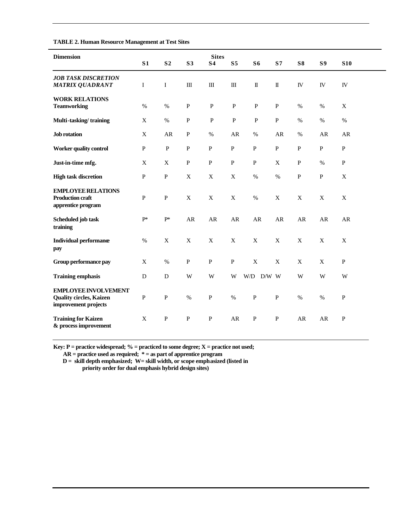| TADLE 2. Human Resource Management at Test Sites                                      |                |                |              |                           |                |                        |                        |              |              |              |  |
|---------------------------------------------------------------------------------------|----------------|----------------|--------------|---------------------------|----------------|------------------------|------------------------|--------------|--------------|--------------|--|
| <b>Dimension</b>                                                                      | S <sub>1</sub> | S <sub>2</sub> | S3           | <b>Sites</b><br><b>S4</b> | S <sub>5</sub> | S <sub>6</sub>         | S <sub>7</sub>         | S8           | <b>S9</b>    | <b>S10</b>   |  |
| <b>JOB TASK DISCRETION</b><br><b>MATRIX QUADRANT</b>                                  | I              | $\mathbf I$    | $\mathbf{I}$ | $\rm III$                 | $\mathbf{I}$   | $\rm I\hspace{-.1em}I$ | $\rm I\hspace{-.1em}I$ | IV           | IV           | IV           |  |
| <b>WORK RELATIONS</b><br><b>Teamworking</b>                                           | %              | $\%$           | $\mathbf{P}$ | $\mathbf{P}$              | $\mathbf{P}$   | $\mathbf{P}$           | ${\bf P}$              | $\%$         | $\%$         | X            |  |
| Multi-tasking/training                                                                | $\mathbf X$    | $\%$           | ${\bf P}$    | ${\bf P}$                 | $\, {\bf P}$   | $\, {\bf P}$           | ${\bf P}$              | $\%$         | $\%$         | $\%$         |  |
| Job rotation                                                                          | $\mathbf X$    | ${\sf AR}$     | ${\bf P}$    | $\%$                      | ${\sf AR}$     | $\%$                   | ${\sf AR}$             | $\%$         | ${\sf AR}$   | AR           |  |
| <b>Worker quality control</b>                                                         | $\mathbf{P}$   | $\mathbf{P}$   | $\mathbf{P}$ | $\mathbf{P}$              | $\mathbf{P}$   | $\mathbf{P}$           | $\mathbf{P}$           | $\, {\bf P}$ | $\mathbf{P}$ | $\mathbf{P}$ |  |
| Just-in-time mfg.                                                                     | X              | X              | $\mathbf{P}$ | $\mathbf{P}$              | $\mathbf{P}$   | $\mathbf{P}$           | X                      | $\mathbf{P}$ | $\%$         | $\mathbf{P}$ |  |
| <b>High task discretion</b>                                                           | ${\bf P}$      | ${\bf P}$      | $\mathbf X$  | $\mathbf X$               | $\mathbf X$    | $\%$                   | $\%$                   | ${\bf P}$    | ${\bf P}$    | $\mathbf X$  |  |
| <b>EMPLOYEE RELATIONS</b><br><b>Production craft</b><br>apprentice program            | ${\bf P}$      | ${\bf P}$      | $\mathbf X$  | $\mathbf X$               | $\mathbf X$    | $\%$                   | $\mathbf X$            | $\mathbf X$  | $\mathbf X$  | $\mathbf X$  |  |
| Scheduled job task<br>training                                                        | $P^*$          | $P^*$          | ${\sf AR}$   | ${\sf AR}$                | ${\sf AR}$     | AR                     | AR                     | ${\sf AR}$   | AR           | AR           |  |
| <b>Individual performance</b><br>pay                                                  | $\%$           | $\mathbf X$    | $\mathbf X$  | X                         | X              | X                      | X                      | $\mathbf X$  | $\mathbf X$  | X            |  |
| Group performance pay                                                                 | X              | $\%$           | ${\bf P}$    | $\, {\bf P}$              | ${\bf P}$      | $\mathbf X$            | $\mathbf X$            | $\mathbf X$  | $\mathbf X$  | $\, {\bf P}$ |  |
| <b>Training emphasis</b>                                                              | D              | D              | W            | W                         | W              | W/D<br>$D/W$ W         |                        | W            | W            | W            |  |
| <b>EMPLOYEE INVOLVEMENT</b><br><b>Quality circles, Kaizen</b><br>improvement projects | ${\bf P}$      | ${\bf P}$      | $\%$         | ${\bf P}$                 | $\%$           | ${\bf P}$              | ${\bf P}$              | $\%$         | $\%$         | $\, {\bf P}$ |  |
| <b>Training for Kaizen</b><br>& process improvement                                   | $\mathbf X$    | ${\bf P}$      | $\mathbf{P}$ | $\, {\bf P}$              | AR             | ${\bf P}$              | ${\bf P}$              | AR           | AR           | ${\bf P}$    |  |

#### **TABLE 2. Human Resource Management at Test Sites**

**Key: P = practice widespread; % = practiced to some degree; X = practice not used;** 

 **AR = practice used as required; \* = as part of apprentice program** 

 **D = skill depth emphasized; W= skill width, or scope emphasized (listed in priority order for dual emphasis hybrid design sites)**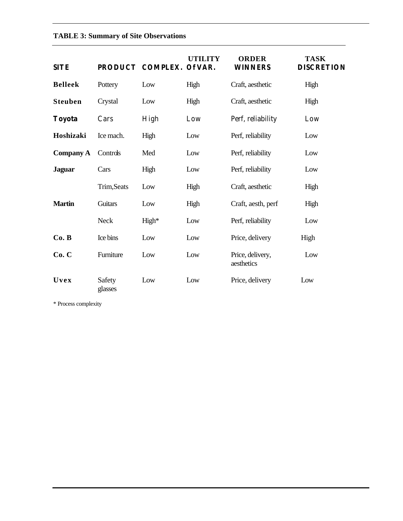#### **TABLE 3: Summary of Site Observations**

| <b>SITE</b>      |                   | PRODUCT COMPLEX. Of VAR. | UTILITY | <b>ORDER</b><br><b>WINNERS</b> | <b>TASK</b><br><b>DISCRETION</b> |
|------------------|-------------------|--------------------------|---------|--------------------------------|----------------------------------|
| <b>Belleek</b>   | Pottery           | Low                      | High    | Craft, aesthetic               | High                             |
| <b>Steuben</b>   | Crystal           | Low                      | High    | Craft, aesthetic               | High                             |
| Toyota           | Cars              | High                     | Low     | Perf, reliability              | Low                              |
| Hoshizaki        | Ice mach.         | High                     | Low     | Perf, reliability              | Low                              |
| <b>Company A</b> | Controls          | Med                      | Low     | Perf, reliability              | Low                              |
| <b>Jaguar</b>    | Cars              | High                     | Low     | Perf, reliability              | Low                              |
|                  | Trim, Seats       | Low                      | High    | Craft, aesthetic               | High                             |
| <b>Martin</b>    | <b>Guitars</b>    | Low                      | High    | Craft, aesth, perf             | High                             |
|                  | <b>Neck</b>       | High*                    | Low     | Perf, reliability              | Low                              |
| Co. B            | Ice bins          | Low                      | Low     | Price, delivery                | High                             |
| Co. C            | Furniture         | Low                      | Low     | Price, delivery,<br>aesthetics | Low                              |
| Uvex             | Safety<br>glasses | Low                      | Low     | Price, delivery                | Low                              |

\* Process complexity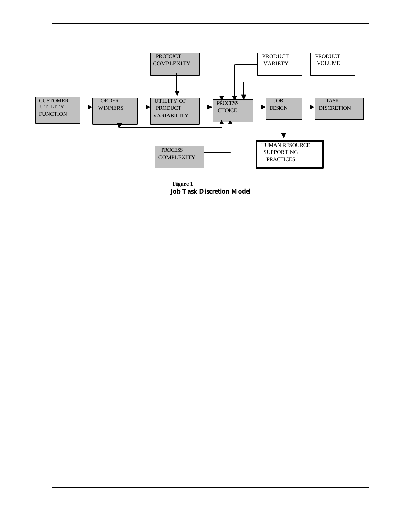

**Figure 1 Job Task Discretion Model**